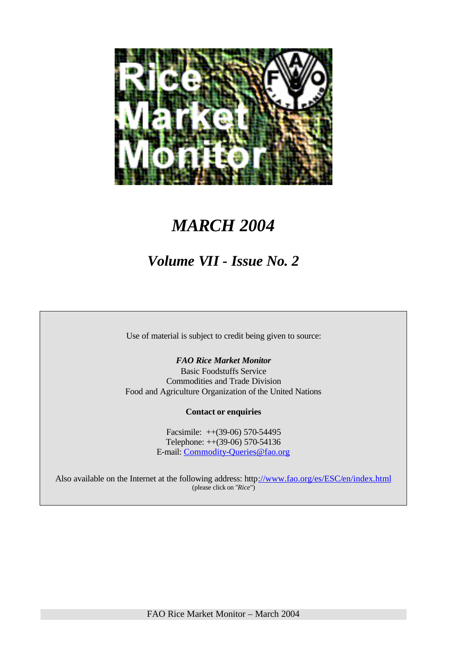

## *MARCH 2004*

### *Volume VII - Issue No. 2*

Use of material is subject to credit being given to source:

*FAO Rice Market Monitor* Basic Foodstuffs Service Commodities and Trade Division Food and Agriculture Organization of the United Nations

**Contact or enquiries**

Facsimile: ++(39-06) 570-54495 Telephone: ++(39-06) 570-54136 E-mail: Commodity-Queries@fao.org

Also available on the Internet at the following address: http://www.fao.org/es/ESC/en/index.html (please click on "*Rice*")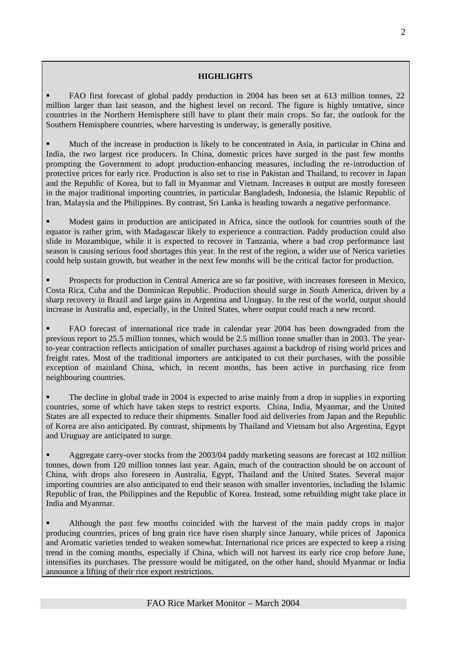#### **HIGHLIGHTS**

ß FAO first forecast of global paddy production in 2004 has been set at 613 million tonnes, 22 million larger than last season, and the highest level on record. The figure is highly tentative, since countries in the Northern Hemisphere still have to plant their main crops. So far, the outlook for the Southern Hemisphere countries, where harvesting is underway, is generally positive.

ß Much of the increase in production is likely to be concentrated in Asia, in particular in China and India, the two largest rice producers. In China, domestic prices have surged in the past few months prompting the Government to adopt production-enhancing measures, including the re-introduction of protective prices for early rice. Production is also set to rise in Pakistan and Thailand, to recover in Japan and the Republic of Korea, but to fall in Myanmar and Vietnam. Increases in output are mostly foreseen in the major traditional importing countries, in particular Bangladesh, Indonesia, the Islamic Republic of Iran, Malaysia and the Philippines. By contrast, Sri Lanka is heading towards a negative performance.

ß Modest gains in production are anticipated in Africa, since the outlook for countries south of the equator is rather grim, with Madagascar likely to experience a contraction. Paddy production could also slide in Mozambique, while it is expected to recover in Tanzania, where a bad crop performance last season is causing serious food shortages this year. In the rest of the region, a wider use of Nerica varieties could help sustain growth, but weather in the next few months will be the critical factor for production.

ß Prospects for production in Central America are so far positive, with increases foreseen in Mexico, Costa Rica, Cuba and the Dominican Republic. Production should surge in South America, driven by a sharp recovery in Brazil and large gains in Argentina and Uruguay. In the rest of the world, output should increase in Australia and, especially, in the United States, where output could reach a new record.

ß FAO forecast of international rice trade in calendar year 2004 has been downgraded from the previous report to 25.5 million tonnes, which would be 2.5 million tonne smaller than in 2003. The yearto-year contraction reflects anticipation of smaller purchases against a backdrop of rising world prices and freight rates. Most of the traditional importers are anticipated to cut their purchases, with the possible exception of mainland China, which, in recent months, has been active in purchasing rice from neighbouring countries.

The decline in global trade in 2004 is expected to arise mainly from a drop in supplies in exporting countries, some of which have taken steps to restrict exports. China, India, Myanmar, and the United States are all expected to reduce their shipments. Smaller food aid deliveries from Japan and the Republic of Korea are also anticipated. By contrast, shipments by Thailand and Vietnam but also Argentina, Egypt and Uruguay are anticipated to surge.

ß Aggregate carry-over stocks from the 2003/04 paddy marketing seasons are forecast at 102 million tonnes, down from 120 million tonnes last year. Again, much of the contraction should be on account of China, with drops also foreseen in Australia, Egypt, Thailand and the United States. Several major importing countries are also anticipated to end their season with smaller inventories, including the Islamic Republic of Iran, the Philippines and the Republic of Korea. Instead, some rebuilding might take place in India and Myanmar.

ß Although the past few months coincided with the harvest of the main paddy crops in major producing countries, prices of long grain rice have risen sharply since January, while prices of Japonica and Aromatic varieties tended to weaken somewhat. International rice prices are expected to keep a rising trend in the coming months, especially if China, which will not harvest its early rice crop before June, intensifies its purchases. The pressure would be mitigated, on the other hand, should Myanmar or India announce a lifting of their rice export restrictions.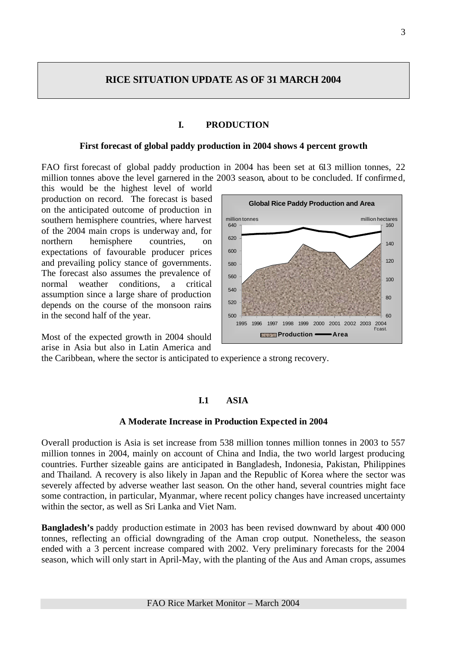### **RICE SITUATION UPDATE AS OF 31 MARCH 2004**

#### **I. PRODUCTION**

#### **First forecast of global paddy production in 2004 shows 4 percent growth**

FAO first forecast of global paddy production in 2004 has been set at 613 million tonnes, 22 million tonnes above the level garnered in the 2003 season, about to be concluded. If confirmed,

this would be the highest level of world production on record. The forecast is based on the anticipated outcome of production in southern hemisphere countries, where harvest of the 2004 main crops is underway and, for northern hemisphere countries, on expectations of favourable producer prices and prevailing policy stance of governments. The forecast also assumes the prevalence of normal weather conditions, a critical assumption since a large share of production depends on the course of the monsoon rains in the second half of the year.

Most of the expected growth in 2004 should arise in Asia but also in Latin America and



the Caribbean, where the sector is anticipated to experience a strong recovery.

#### **I.1 ASIA**

#### **A Moderate Increase in Production Expected in 2004**

Overall production is Asia is set increase from 538 million tonnes million tonnes in 2003 to 557 million tonnes in 2004, mainly on account of China and India, the two world largest producing countries. Further sizeable gains are anticipated in Bangladesh, Indonesia, Pakistan, Philippines and Thailand. A recovery is also likely in Japan and the Republic of Korea where the sector was severely affected by adverse weather last season. On the other hand, several countries might face some contraction, in particular, Myanmar, where recent policy changes have increased uncertainty within the sector, as well as Sri Lanka and Viet Nam.

**Bangladesh's** paddy production estimate in 2003 has been revised downward by about 400 000 tonnes, reflecting an official downgrading of the Aman crop output. Nonetheless, the season ended with a 3 percent increase compared with 2002. Very preliminary forecasts for the 2004 season, which will only start in April-May, with the planting of the Aus and Aman crops, assumes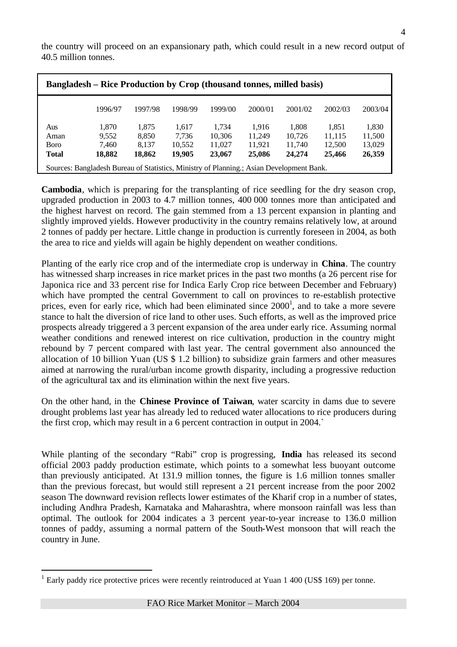| <b>Bangladesh – Rice Production by Crop (thousand tonnes, milled basis)</b> |         |         |         |         |         |         |         |         |  |
|-----------------------------------------------------------------------------|---------|---------|---------|---------|---------|---------|---------|---------|--|
|                                                                             | 1996/97 | 1997/98 | 1998/99 | 1999/00 | 2000/01 | 2001/02 | 2002/03 | 2003/04 |  |
| Aus                                                                         | 1,870   | 1,875   | 1.617   | 1.734   | 1.916   | 1,808   | 1,851   | 1,830   |  |
| Aman                                                                        | 9,552   | 8,850   | 7.736   | 10,306  | 11,249  | 10,726  | 11,115  | 11,500  |  |
| <b>B</b> oro                                                                | 7,460   | 8,137   | 10,552  | 11,027  | 11,921  | 11,740  | 12,500  | 13,029  |  |
| <b>Total</b>                                                                | 18,882  | 18,862  | 19,905  | 23,067  | 25,086  | 24,274  | 25,466  | 26,359  |  |

Sources: Bangladesh Bureau of Statistics, Ministry of Planning.; Asian Development Bank.

the country will proceed on an expansionary path, which could result in a new record output of 40.5 million tonnes.

**Cambodia**, which is preparing for the transplanting of rice seedling for the dry season crop, upgraded production in 2003 to 4.7 million tonnes, 400 000 tonnes more than anticipated and the highest harvest on record. The gain stemmed from a 13 percent expansion in planting and slightly improved yields. However productivity in the country remains relatively low, at around 2 tonnes of paddy per hectare. Little change in production is currently foreseen in 2004, as both the area to rice and yields will again be highly dependent on weather conditions.

Planting of the early rice crop and of the intermediate crop is underway in **China**. The country has witnessed sharp increases in rice market prices in the past two months (a 26 percent rise for Japonica rice and 33 percent rise for Indica Early Crop rice between December and February) which have prompted the central Government to call on provinces to re-establish protective prices, even for early rice, which had been eliminated since  $2000<sup>1</sup>$ , and to take a more severe stance to halt the diversion of rice land to other uses. Such efforts, as well as the improved price prospects already triggered a 3 percent expansion of the area under early rice. Assuming normal weather conditions and renewed interest on rice cultivation, production in the country might rebound by 7 percent compared with last year. The central government also announced the allocation of 10 billion Yuan (US \$ 1.2 billion) to subsidize grain farmers and other measures aimed at narrowing the rural/urban income growth disparity, including a progressive reduction of the agricultural tax and its elimination within the next five years.

On the other hand, in the **Chinese Province of Taiwan**, water scarcity in dams due to severe drought problems last year has already led to reduced water allocations to rice producers during the first crop, which may result in a 6 percent contraction in output in 2004.`

While planting of the secondary "Rabi" crop is progressing, **India** has released its second official 2003 paddy production estimate, which points to a somewhat less buoyant outcome than previously anticipated. At 131.9 million tonnes, the figure is 1.6 million tonnes smaller than the previous forecast, but would still represent a 21 percent increase from the poor 2002 season The downward revision reflects lower estimates of the Kharif crop in a number of states, including Andhra Pradesh, Karnataka and Maharashtra, where monsoon rainfall was less than optimal. The outlook for 2004 indicates a 3 percent year-to-year increase to 136.0 million tonnes of paddy, assuming a normal pattern of the South-West monsoon that will reach the country in June.

l

 $1$  Early paddy rice protective prices were recently reintroduced at Yuan  $1\,400$  (US\$ 169) per tonne.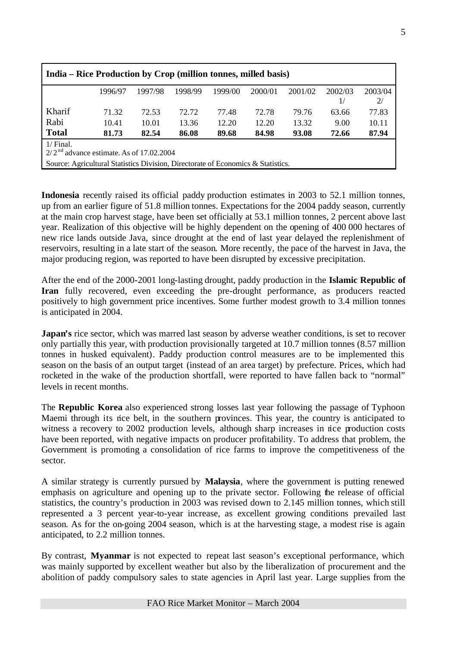| India – Rice Production by Crop (million tonnes, milled basis)                       |         |         |         |         |         |         |         |         |  |  |
|--------------------------------------------------------------------------------------|---------|---------|---------|---------|---------|---------|---------|---------|--|--|
|                                                                                      | 1996/97 | 1997/98 | 1998/99 | 1999/00 | 2000/01 | 2001/02 | 2002/03 | 2003/04 |  |  |
| 2/<br>1/                                                                             |         |         |         |         |         |         |         |         |  |  |
| Kharif<br>77.83<br>72.78<br>71.32<br>72.53<br>72.72<br>77.48<br>63.66<br>79.76       |         |         |         |         |         |         |         |         |  |  |
| Rabi                                                                                 | 10.41   | 10.01   | 13.36   | 12.20   | 12.20   | 13.32   | 9.00    | 10.11   |  |  |
| <b>Total</b><br>87.94<br>93.08<br>72.66<br>86.08<br>89.68<br>84.98<br>81.73<br>82.54 |         |         |         |         |         |         |         |         |  |  |
| $1/$ Final.                                                                          |         |         |         |         |         |         |         |         |  |  |
| $2/2^{nd}$ advance estimate. As of 17.02.2004                                        |         |         |         |         |         |         |         |         |  |  |
| Source: Agricultural Statistics Division, Directorate of Economics & Statistics.     |         |         |         |         |         |         |         |         |  |  |

**Indonesia** recently raised its official paddy production estimates in 2003 to 52.1 million tonnes, up from an earlier figure of 51.8 million tonnes. Expectations for the 2004 paddy season, currently at the main crop harvest stage, have been set officially at 53.1 million tonnes, 2 percent above last year. Realization of this objective will be highly dependent on the opening of 400 000 hectares of new rice lands outside Java, since drought at the end of last year delayed the replenishment of reservoirs, resulting in a late start of the season. More recently, the pace of the harvest in Java, the major producing region, was reported to have been disrupted by excessive precipitation.

After the end of the 2000-2001 long-lasting drought, paddy production in the **Islamic Republic of Iran** fully recovered, even exceeding the pre-drought performance, as producers reacted positively to high government price incentives. Some further modest growth to 3.4 million tonnes is anticipated in 2004.

**Japan's** rice sector, which was marred last season by adverse weather conditions, is set to recover only partially this year, with production provisionally targeted at 10.7 million tonnes (8.57 million tonnes in husked equivalent). Paddy production control measures are to be implemented this season on the basis of an output target (instead of an area target) by prefecture. Prices, which had rocketed in the wake of the production shortfall, were reported to have fallen back to "normal" levels in recent months.

The **Republic Korea** also experienced strong losses last year following the passage of Typhoon Maemi through its rice belt, in the southern provinces. This year, the country is anticipated to witness a recovery to 2002 production levels, although sharp increases in rice production costs have been reported, with negative impacts on producer profitability. To address that problem, the Government is promoting a consolidation of rice farms to improve the competitiveness of the sector.

A similar strategy is currently pursued by **Malaysia**, where the government is putting renewed emphasis on agriculture and opening up to the private sector. Following the release of official statistics, the country's production in 2003 was revised down to 2.145 million tonnes, which still represented a 3 percent year-to-year increase, as excellent growing conditions prevailed last season. As for the on-going 2004 season, which is at the harvesting stage, a modest rise is again anticipated, to 2.2 million tonnes.

By contrast, **Myanmar** is not expected to repeat last season's exceptional performance, which was mainly supported by excellent weather but also by the liberalization of procurement and the abolition of paddy compulsory sales to state agencies in April last year. Large supplies from the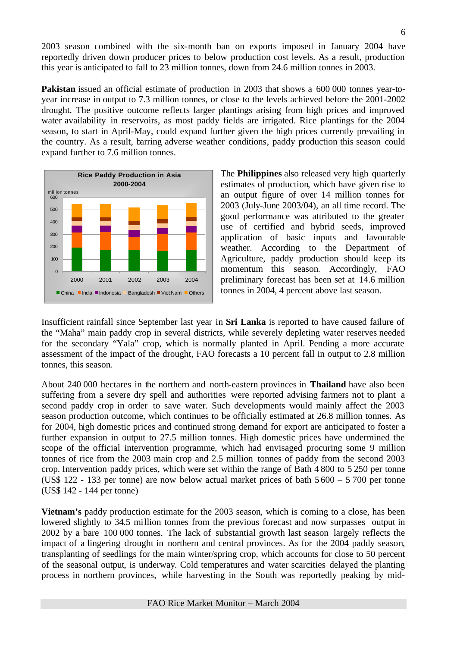2003 season combined with the six-month ban on exports imposed in January 2004 have reportedly driven down producer prices to below production cost levels. As a result, production this year is anticipated to fall to 23 million tonnes, down from 24.6 million tonnes in 2003.

**Pakistan** issued an official estimate of production in 2003 that shows a 600 000 tonnes year-toyear increase in output to 7.3 million tonnes, or close to the levels achieved before the 2001-2002 drought. The positive outcome reflects larger plantings arising from high prices and improved water availability in reservoirs, as most paddy fields are irrigated. Rice plantings for the 2004 season, to start in April-May, could expand further given the high prices currently prevailing in the country. As a result, barring adverse weather conditions, paddy production this season could expand further to 7.6 million tonnes.



The **Philippines** also released very high quarterly estimates of production, which have given rise to an output figure of over 14 million tonnes for 2003 (July-June 2003/04), an all time record. The good performance was attributed to the greater use of certified and hybrid seeds, improved application of basic inputs and favourable weather. According to the Department of Agriculture, paddy production should keep its momentum this season. Accordingly, FAO preliminary forecast has been set at 14.6 million tonnes in 2004, 4 percent above last season.

Insufficient rainfall since September last year in **Sri Lanka** is reported to have caused failure of the "Maha" main paddy crop in several districts, while severely depleting water reserves needed for the secondary "Yala" crop, which is normally planted in April. Pending a more accurate assessment of the impact of the drought, FAO forecasts a 10 percent fall in output to 2.8 million tonnes, this season.

About 240 000 hectares in the northern and north-eastern provinces in **Thailand** have also been suffering from a severe dry spell and authorities were reported advising farmers not to plant a second paddy crop in order to save water. Such developments would mainly affect the 2003 season production outcome, which continues to be officially estimated at 26.8 million tonnes. As for 2004, high domestic prices and continued strong demand for export are anticipated to foster a further expansion in output to 27.5 million tonnes. High domestic prices have undermined the scope of the official intervention programme, which had envisaged procuring some 9 million tonnes of rice from the 2003 main crop and 2.5 million tonnes of paddy from the second 2003 crop. Intervention paddy prices, which were set within the range of Bath 4 800 to 5 250 per tonne (US\$ 122 - 133 per tonne) are now below actual market prices of bath 5 600 – 5 700 per tonne (US\$ 142 - 144 per tonne)

**Vietnam's** paddy production estimate for the 2003 season, which is coming to a close, has been lowered slightly to 34.5 million tonnes from the previous forecast and now surpasses output in 2002 by a bare 100 000 tonnes. The lack of substantial growth last season largely reflects the impact of a lingering drought in northern and central provinces. As for the 2004 paddy season, transplanting of seedlings for the main winter/spring crop, which accounts for close to 50 percent of the seasonal output, is underway. Cold temperatures and water scarcities delayed the planting process in northern provinces, while harvesting in the South was reportedly peaking by mid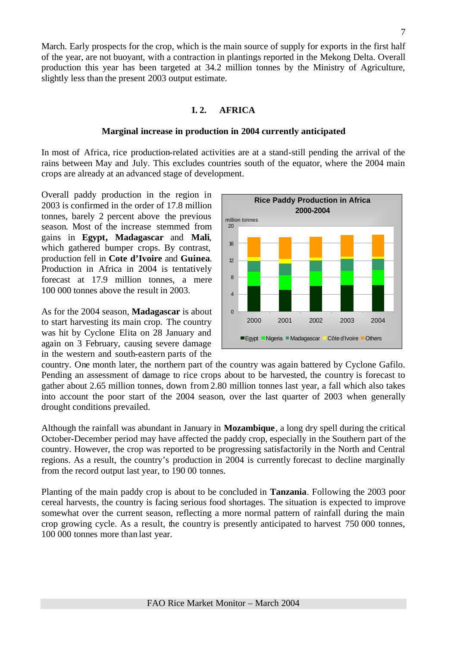March. Early prospects for the crop, which is the main source of supply for exports in the first half of the year, are not buoyant, with a contraction in plantings reported in the Mekong Delta. Overall production this year has been targeted at 34.2 million tonnes by the Ministry of Agriculture, slightly less than the present 2003 output estimate.

#### **I. 2. AFRICA**

#### **Marginal increase in production in 2004 currently anticipated**

In most of Africa, rice production-related activities are at a stand-still pending the arrival of the rains between May and July. This excludes countries south of the equator, where the 2004 main crops are already at an advanced stage of development.

Overall paddy production in the region in 2003 is confirmed in the order of 17.8 million tonnes, barely 2 percent above the previous season. Most of the increase stemmed from gains in **Egypt, Madagascar** and **Mali**, which gathered bumper crops. By contrast, production fell in **Cote d'Ivoire** and **Guinea**. Production in Africa in 2004 is tentatively forecast at 17.9 million tonnes, a mere 100 000 tonnes above the result in 2003.

As for the 2004 season, **Madagascar** is about to start harvesting its main crop. The country was hit by Cyclone Elita on 28 January and again on 3 February, causing severe damage in the western and south-eastern parts of the



country. One month later, the northern part of the country was again battered by Cyclone Gafilo. Pending an assessment of damage to rice crops about to be harvested, the country is forecast to gather about 2.65 million tonnes, down from 2.80 million tonnes last year, a fall which also takes into account the poor start of the 2004 season, over the last quarter of 2003 when generally drought conditions prevailed.

Although the rainfall was abundant in January in **Mozambique**, a long dry spell during the critical October-December period may have affected the paddy crop, especially in the Southern part of the country. However, the crop was reported to be progressing satisfactorily in the North and Central regions. As a result, the country's production in 2004 is currently forecast to decline marginally from the record output last year, to 190 00 tonnes.

Planting of the main paddy crop is about to be concluded in **Tanzania**. Following the 2003 poor cereal harvests, the country is facing serious food shortages. The situation is expected to improve somewhat over the current season, reflecting a more normal pattern of rainfall during the main crop growing cycle. As a result, the country is presently anticipated to harvest 750 000 tonnes, 100 000 tonnes more than last year.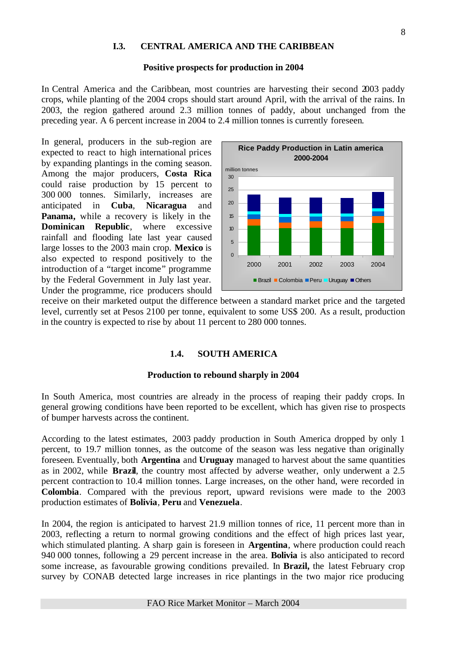#### **I.3. CENTRAL AMERICA AND THE CARIBBEAN**

#### **Positive prospects for production in 2004**

In Central America and the Caribbean, most countries are harvesting their second 2003 paddy crops, while planting of the 2004 crops should start around April, with the arrival of the rains. In 2003, the region gathered around 2.3 million tonnes of paddy, about unchanged from the preceding year. A 6 percent increase in 2004 to 2.4 million tonnes is currently foreseen.

In general, producers in the sub-region are expected to react to high international prices by expanding plantings in the coming season. Among the major producers, **Costa Rica** could raise production by 15 percent to 300 000 tonnes. Similarly, increases are anticipated in **Cuba**, **Nicaragua** and **Panama,** while a recovery is likely in the **Dominican Republic**, where excessive rainfall and flooding late last year caused large losses to the 2003 main crop. **Mexico** is also expected to respond positively to the introduction of a "target income" programme by the Federal Government in July last year. Under the programme, rice producers should



receive on their marketed output the difference between a standard market price and the targeted level, currently set at Pesos 2100 per tonne, equivalent to some US\$ 200. As a result, production in the country is expected to rise by about 11 percent to 280 000 tonnes.

#### **1.4. SOUTH AMERICA**

#### **Production to rebound sharply in 2004**

In South America, most countries are already in the process of reaping their paddy crops. In general growing conditions have been reported to be excellent, which has given rise to prospects of bumper harvests across the continent.

According to the latest estimates, 2003 paddy production in South America dropped by only 1 percent, to 19.7 million tonnes, as the outcome of the season was less negative than originally foreseen. Eventually, both **Argentina** and **Uruguay** managed to harvest about the same quantities as in 2002, while **Brazil**, the country most affected by adverse weather, only underwent a 2.5 percent contraction to 10.4 million tonnes. Large increases, on the other hand, were recorded in **Colombia**. Compared with the previous report, upward revisions were made to the 2003 production estimates of **Bolivia**, **Peru** and **Venezuela**.

In 2004, the region is anticipated to harvest 21.9 million tonnes of rice, 11 percent more than in 2003, reflecting a return to normal growing conditions and the effect of high prices last year, which stimulated planting. A sharp gain is foreseen in **Argentina**, where production could reach 940 000 tonnes, following a 29 percent increase in the area. **Bolivia** is also anticipated to record some increase, as favourable growing conditions prevailed. In **Brazil,** the latest February crop survey by CONAB detected large increases in rice plantings in the two major rice producing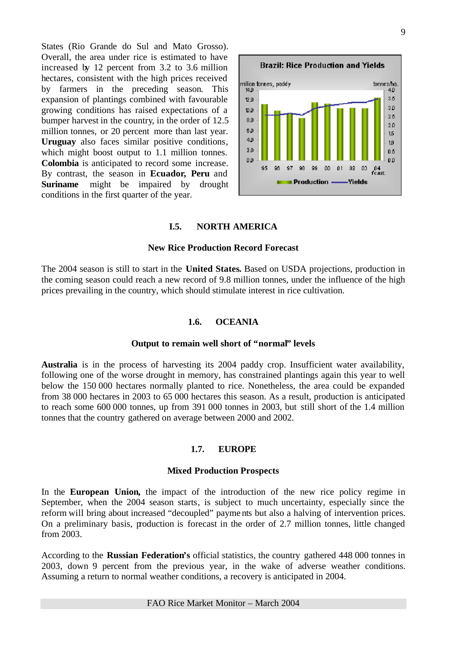States (Rio Grande do Sul and Mato Grosso). Overall, the area under rice is estimated to have increased by 12 percent from 3.2 to 3.6 million hectares, consistent with the high prices received by farmers in the preceding season. This expansion of plantings combined with favourable growing conditions has raised expectations of a bumper harvest in the country, in the order of 12.5 million tonnes, or 20 percent more than last year. **Uruguay** also faces similar positive conditions, which might boost output to 1.1 million tonnes. **Colombia** is anticipated to record some increase. By contrast, the season in **Ecuador, Peru** and **Suriname** might be impaired by drought conditions in the first quarter of the year.



#### **I.5. NORTH AMERICA**

#### **New Rice Production Record Forecast**

The 2004 season is still to start in the **United States.** Based on USDA projections, production in the coming season could reach a new record of 9.8 million tonnes, under the influence of the high prices prevailing in the country, which should stimulate interest in rice cultivation.

#### **1.6. OCEANIA**

#### **Output to remain well short of "normal" levels**

**Australia** is in the process of harvesting its 2004 paddy crop. Insufficient water availability, following one of the worse drought in memory, has constrained plantings again this year to well below the 150 000 hectares normally planted to rice. Nonetheless, the area could be expanded from 38 000 hectares in 2003 to 65 000 hectares this season. As a result, production is anticipated to reach some 600 000 tonnes, up from 391 000 tonnes in 2003, but still short of the 1.4 million tonnes that the country gathered on average between 2000 and 2002.

#### **1.7. EUROPE**

#### **Mixed Production Prospects**

In the **European Union,** the impact of the introduction of the new rice policy regime in September, when the 2004 season starts, is subject to much uncertainty, especially since the reform will bring about increased "decoupled" payme nts but also a halving of intervention prices. On a preliminary basis, production is forecast in the order of 2.7 million tonnes, little changed from 2003.

According to the **Russian Federation's** official statistics, the country gathered 448 000 tonnes in 2003, down 9 percent from the previous year, in the wake of adverse weather conditions. Assuming a return to normal weather conditions, a recovery is anticipated in 2004.

#### FAO Rice Market Monitor – March 2004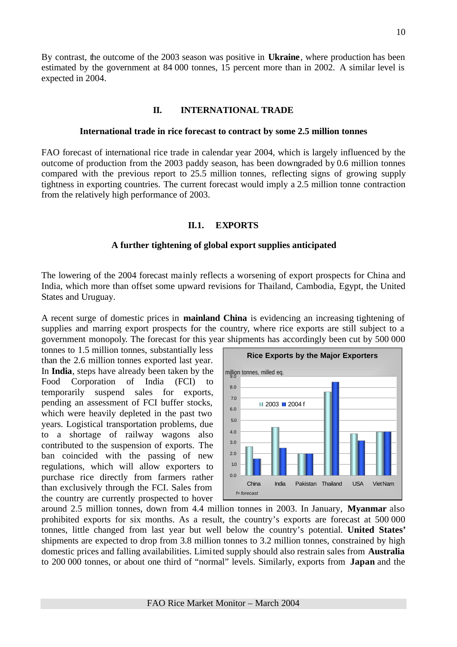By contrast, the outcome of the 2003 season was positive in **Ukraine**, where production has been estimated by the government at 84 000 tonnes, 15 percent more than in 2002. A similar level is expected in 2004.

#### **II. INTERNATIONAL TRADE**

#### **International trade in rice forecast to contract by some 2.5 million tonnes**

FAO forecast of international rice trade in calendar year 2004, which is largely influenced by the outcome of production from the 2003 paddy season, has been downgraded by 0.6 million tonnes compared with the previous report to 25.5 million tonnes, reflecting signs of growing supply tightness in exporting countries. The current forecast would imply a 2.5 million tonne contraction from the relatively high performance of 2003.

#### **II.1. EXPORTS**

#### **A further tightening of global export supplies anticipated**

The lowering of the 2004 forecast mainly reflects a worsening of export prospects for China and India, which more than offset some upward revisions for Thailand, Cambodia, Egypt, the United States and Uruguay.

A recent surge of domestic prices in **mainland China** is evidencing an increasing tightening of supplies and marring export prospects for the country, where rice exports are still subject to a government monopoly. The forecast for this year shipments has accordingly been cut by 500 000

tonnes to 1.5 million tonnes, substantially less than the 2.6 million tonnes exported last year. In **India**, steps have already been taken by the Food Corporation of India (FCI) to temporarily suspend sales for exports, pending an assessment of FCI buffer stocks, which were heavily depleted in the past two years. Logistical transportation problems, due to a shortage of railway wagons also contributed to the suspension of exports. The ban coincided with the passing of new regulations, which will allow exporters to purchase rice directly from farmers rather than exclusively through the FCI. Sales from the country are currently prospected to hover



around 2.5 million tonnes, down from 4.4 million tonnes in 2003. In January, **Myanmar** also prohibited exports for six months. As a result, the country's exports are forecast at 500 000 tonnes, little changed from last year but well below the country's potential. **United States'** shipments are expected to drop from 3.8 million tonnes to 3.2 million tonnes, constrained by high domestic prices and falling availabilities. Limited supply should also restrain sales from **Australia** to 200 000 tonnes, or about one third of "normal" levels. Similarly, exports from **Japan** and the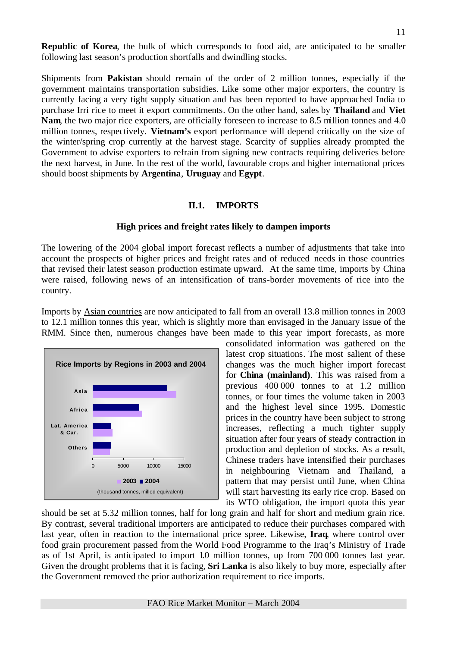**Republic of Korea**, the bulk of which corresponds to food aid, are anticipated to be smaller following last season's production shortfalls and dwindling stocks.

Shipments from **Pakistan** should remain of the order of 2 million tonnes, especially if the government maintains transportation subsidies. Like some other major exporters, the country is currently facing a very tight supply situation and has been reported to have approached India to purchase Irri rice to meet it export commitments. On the other hand, sales by **Thailand** and **Viet Nam**, the two major rice exporters, are officially foreseen to increase to 8.5 million tonnes and 4.0 million tonnes, respectively. **Vietnam's** export performance will depend critically on the size of the winter/spring crop currently at the harvest stage. Scarcity of supplies already prompted the Government to advise exporters to refrain from signing new contracts requiring deliveries before the next harvest, in June. In the rest of the world, favourable crops and higher international prices should boost shipments by **Argentina**, **Uruguay** and **Egypt**.

#### **II.1. IMPORTS**

#### **High prices and freight rates likely to dampen imports**

The lowering of the 2004 global import forecast reflects a number of adjustments that take into account the prospects of higher prices and freight rates and of reduced needs in those countries that revised their latest season production estimate upward. At the same time, imports by China were raised, following news of an intensification of trans-border movements of rice into the country.

Imports by Asian countries are now anticipated to fall from an overall 13.8 million tonnes in 2003 to 12.1 million tonnes this year, which is slightly more than envisaged in the January issue of the RMM. Since then, numerous changes have been made to this year import forecasts, as more



consolidated information was gathered on the latest crop situations. The most salient of these changes was the much higher import forecast for **China (mainland)**. This was raised from a previous 400 000 tonnes to at 1.2 million tonnes, or four times the volume taken in 2003 and the highest level since 1995. Domestic prices in the country have been subject to strong increases, reflecting a much tighter supply situation after four years of steady contraction in production and depletion of stocks. As a result, Chinese traders have intensified their purchases in neighbouring Vietnam and Thailand, a pattern that may persist until June, when China will start harvesting its early rice crop. Based on its WTO obligation, the import quota this year

should be set at 5.32 million tonnes, half for long grain and half for short and medium grain rice. By contrast, several traditional importers are anticipated to reduce their purchases compared with last year, often in reaction to the international price spree. Likewise, **Iraq**, where control over food grain procurement passed from the World Food Programme to the Iraq's Ministry of Trade as of 1st April, is anticipated to import 1.0 million tonnes, up from 700 000 tonnes last year. Given the drought problems that it is facing, **Sri Lanka** is also likely to buy more, especially after the Government removed the prior authorization requirement to rice imports.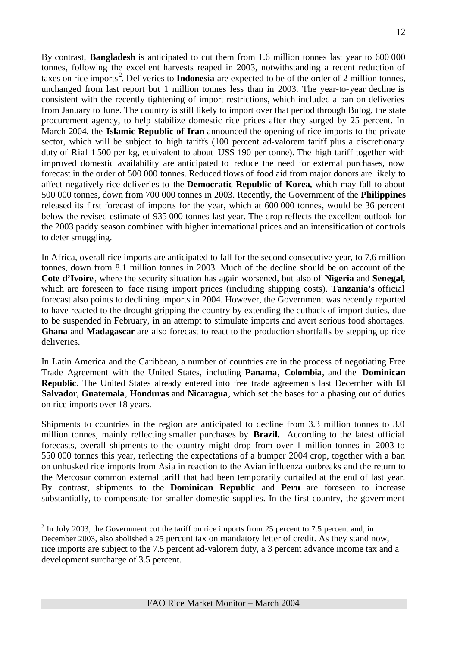By contrast, **Bangladesh** is anticipated to cut them from 1.6 million tonnes last year to 600 000 tonnes, following the excellent harvests reaped in 2003, notwithstanding a recent reduction of taxes on rice imports <sup>2</sup> . Deliveries to **Indonesia** are expected to be of the order of 2 million tonnes, unchanged from last report but 1 million tonnes less than in 2003. The year-to-year decline is consistent with the recently tightening of import restrictions, which included a ban on deliveries from January to June. The country is still likely to import over that period through Bulog, the state procurement agency, to help stabilize domestic rice prices after they surged by 25 percent. In March 2004, the **Islamic Republic of Iran** announced the opening of rice imports to the private sector, which will be subject to high tariffs (100 percent ad-valorem tariff plus a discretionary duty of Rial 1 500 per kg, equivalent to about US\$ 190 per tonne). The high tariff together with improved domestic availability are anticipated to reduce the need for external purchases, now forecast in the order of 500 000 tonnes. Reduced flows of food aid from major donors are likely to affect negatively rice deliveries to the **Democratic Republic of Korea,** which may fall to about 500 000 tonnes, down from 700 000 tonnes in 2003. Recently, the Government of the **Philippines** released its first forecast of imports for the year, which at 600 000 tonnes, would be 36 percent below the revised estimate of 935 000 tonnes last year. The drop reflects the excellent outlook for the 2003 paddy season combined with higher international prices and an intensification of controls to deter smuggling.

In Africa, overall rice imports are anticipated to fall for the second consecutive year, to 7.6 million tonnes, down from 8.1 million tonnes in 2003. Much of the decline should be on account of the **Cote d'Ivoire**, where the security situation has again worsened, but also of **Nigeria** and **Senegal,**  which are foreseen to face rising import prices (including shipping costs). **Tanzania's** official forecast also points to declining imports in 2004. However, the Government was recently reported to have reacted to the drought gripping the country by extending the cutback of import duties, due to be suspended in February, in an attempt to stimulate imports and avert serious food shortages. **Ghana** and **Madagascar** are also forecast to react to the production shortfalls by stepping up rice deliveries.

In Latin America and the Caribbean, a number of countries are in the process of negotiating Free Trade Agreement with the United States, including **Panama**, **Colombia**, and the **Dominican Republic**. The United States already entered into free trade agreements last December with **El Salvador**, **Guatemala**, **Honduras** and **Nicaragua**, which set the bases for a phasing out of duties on rice imports over 18 years.

Shipments to countries in the region are anticipated to decline from 3.3 million tonnes to 3.0 million tonnes, mainly reflecting smaller purchases by **Brazil.** According to the latest official forecasts, overall shipments to the country might drop from over 1 million tonnes in 2003 to 550 000 tonnes this year, reflecting the expectations of a bumper 2004 crop, together with a ban on unhusked rice imports from Asia in reaction to the Avian influenza outbreaks and the return to the Mercosur common external tariff that had been temporarily curtailed at the end of last year. By contrast, shipments to the **Dominican Republic** and **Peru** are foreseen to increase substantially, to compensate for smaller domestic supplies. In the first country, the government

 $\overline{a}$ 

 $2$  In July 2003, the Government cut the tariff on rice imports from 25 percent to 7.5 percent and, in December 2003, also abolished a 25 percent tax on mandatory letter of credit. As they stand now, rice imports are subject to the 7.5 percent ad-valorem duty, a 3 percent advance income tax and a development surcharge of 3.5 percent.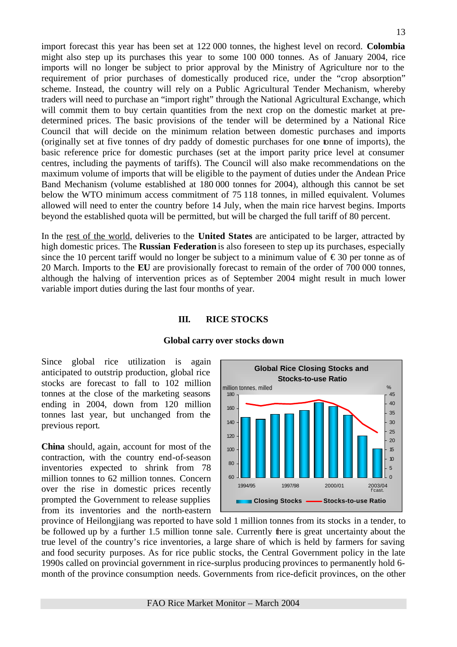import forecast this year has been set at 122 000 tonnes, the highest level on record. **Colombia** might also step up its purchases this year to some 100 000 tonnes. As of January 2004, rice imports will no longer be subject to prior approval by the Ministry of Agriculture nor to the requirement of prior purchases of domestically produced rice, under the "crop absorption" scheme. Instead, the country will rely on a Public Agricultural Tender Mechanism, whereby traders will need to purchase an "import right" through the National Agricultural Exchange, which will commit them to buy certain quantities from the next crop on the domestic market at predetermined prices. The basic provisions of the tender will be determined by a National Rice Council that will decide on the minimum relation between domestic purchases and imports (originally set at five tonnes of dry paddy of domestic purchases for one tonne of imports), the basic reference price for domestic purchases (set at the import parity price level at consumer centres, including the payments of tariffs). The Council will also make recommendations on the maximum volume of imports that will be eligible to the payment of duties under the Andean Price Band Mechanism (volume established at 180 000 tonnes for 2004), although this cannot be set below the WTO minimum access commitment of 75 118 tonnes, in milled equivalent. Volumes allowed will need to enter the country before 14 July, when the main rice harvest begins. Imports beyond the established quota will be permitted, but will be charged the full tariff of 80 percent.

In the rest of the world, deliveries to the **United States** are anticipated to be larger, attracted by high domestic prices. The **Russian Federation** is also foreseen to step up its purchases, especially since the 10 percent tariff would no longer be subject to a minimum value of  $\epsilon$ 30 per tonne as of 20 March. Imports to the **EU** are provisionally forecast to remain of the order of 700 000 tonnes, although the halving of intervention prices as of September 2004 might result in much lower variable import duties during the last four months of year.

#### **III. RICE STOCKS**

#### **Global carry over stocks down**

Since global rice utilization is again anticipated to outstrip production, global rice stocks are forecast to fall to 102 million tonnes at the close of the marketing seasons ending in 2004, down from 120 million tonnes last year, but unchanged from the previous report.

**China** should, again, account for most of the contraction, with the country end-of-season inventories expected to shrink from 78 million tonnes to 62 million tonnes. Concern over the rise in domestic prices recently prompted the Government to release supplies from its inventories and the north-eastern



province of Heilongjiang was reported to have sold 1 million tonnes from its stocks in a tender, to be followed up by a further 1.5 million tonne sale. Currently there is great uncertainty about the true level of the country's rice inventories, a large share of which is held by farmers for saving and food security purposes. As for rice public stocks, the Central Government policy in the late 1990s called on provincial government in rice-surplus producing provinces to permanently hold 6 month of the province consumption needs. Governments from rice-deficit provinces, on the other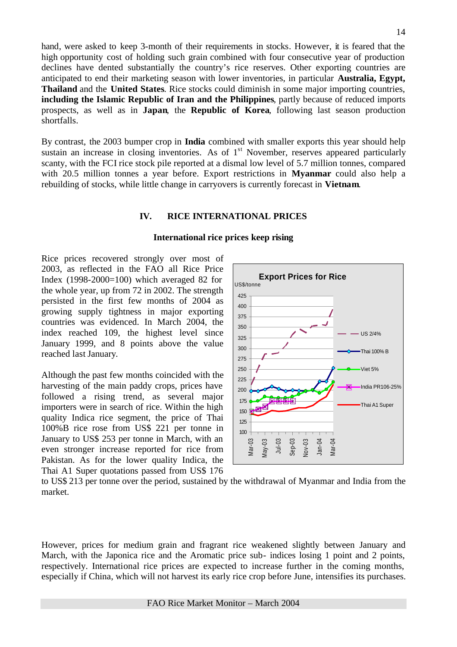hand, were asked to keep 3-month of their requirements in stocks. However, it is feared that the high opportunity cost of holding such grain combined with four consecutive year of production declines have dented substantially the country's rice reserves. Other exporting countries are anticipated to end their marketing season with lower inventories, in particular **Australia, Egypt, Thailand** and the **United States**. Rice stocks could diminish in some major importing countries, **including the Islamic Republic of Iran and the Philippines**, partly because of reduced imports prospects, as well as in **Japan**, the **Republic of Korea**, following last season production shortfalls.

By contrast, the 2003 bumper crop in **India** combined with smaller exports this year should help sustain an increase in closing inventories. As of 1<sup>st</sup> November, reserves appeared particularly scanty, with the FCI rice stock pile reported at a dismal low level of 5.7 million tonnes, compared with 20.5 million tonnes a year before. Export restrictions in **Myanmar** could also help a rebuilding of stocks, while little change in carryovers is currently forecast in **Vietnam**.

#### **IV. RICE INTERNATIONAL PRICES**

#### **International rice prices keep rising**

Rice prices recovered strongly over most of 2003, as reflected in the FAO all Rice Price Index  $(1998-2000=100)$  which averaged 82 for the whole year, up from 72 in 2002. The strength persisted in the first few months of 2004 as growing supply tightness in major exporting countries was evidenced. In March 2004, the index reached 109, the highest level since January 1999, and 8 points above the value reached last January.

Although the past few months coincided with the harvesting of the main paddy crops, prices have followed a rising trend, as several major importers were in search of rice. Within the high quality Indica rice segment, the price of Thai 100%B rice rose from US\$ 221 per tonne in January to US\$ 253 per tonne in March, with an even stronger increase reported for rice from Pakistan. As for the lower quality Indica, the Thai A1 Super quotations passed from US\$ 176



to US\$ 213 per tonne over the period, sustained by the withdrawal of Myanmar and India from the market.

However, prices for medium grain and fragrant rice weakened slightly between January and March, with the Japonica rice and the Aromatic price sub- indices losing 1 point and 2 points, respectively. International rice prices are expected to increase further in the coming months, especially if China, which will not harvest its early rice crop before June, intensifies its purchases.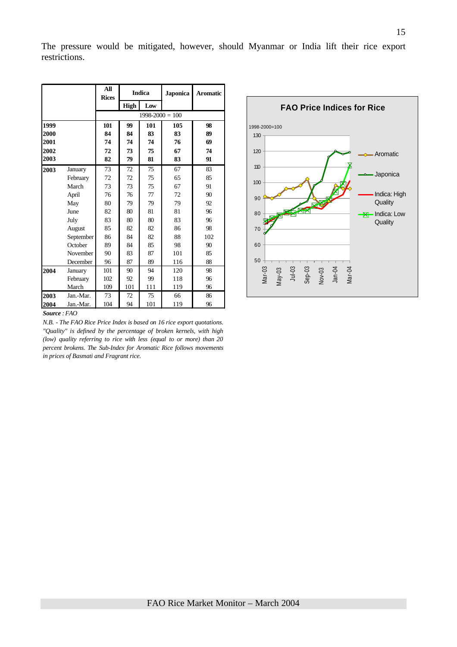|      |           | All<br><b>Rices</b> |             | <b>Indica</b> | <b>Japonica</b> | <b>Aromatic</b> |  |  |  |  |
|------|-----------|---------------------|-------------|---------------|-----------------|-----------------|--|--|--|--|
|      |           |                     | <b>High</b> | Low           |                 |                 |  |  |  |  |
|      |           | $1998 - 2000 = 100$ |             |               |                 |                 |  |  |  |  |
| 1999 |           | 101                 | 99          | 101           | 105             | 98              |  |  |  |  |
| 2000 |           | 84                  | 84          | 83            | 83              | 89              |  |  |  |  |
| 2001 |           | 74                  | 74          | 74            | 76              | 69              |  |  |  |  |
| 2002 |           | 72                  | 73          | 75            | 67              | 74              |  |  |  |  |
| 2003 |           | 82                  | 79          | 81            | 83              | 91              |  |  |  |  |
| 2003 | January   | 73                  | 72          | 75            | 67              | 83              |  |  |  |  |
|      | February  | 72                  | 72          | 75            | 65              | 85              |  |  |  |  |
|      | March     | 73                  | 73          | 75            | 67              | 91              |  |  |  |  |
|      | April     | 76                  | 76          | 77            | 72              | 90              |  |  |  |  |
|      | May       | 80                  | 79          | 79            | 79              | 92              |  |  |  |  |
|      | June      | 82                  | 80          | 81            | 81              | 96              |  |  |  |  |
|      | July      | 83                  | 80          | 80            | 83              | 96              |  |  |  |  |
|      | August    | 85                  | 82          | 82            | 86              | 98              |  |  |  |  |
|      | September | 86                  | 84          | 82            | 88              | 102             |  |  |  |  |
|      | October   | 89                  | 84          | 85            | 98              | 90              |  |  |  |  |
|      | November  | 90                  | 83          | 87            | 101             | 85              |  |  |  |  |
|      | December  | 96                  | 87          | 89            | 116             | 88              |  |  |  |  |
| 2004 | January   | 101                 | 90          | 94            | 120             | 98              |  |  |  |  |
|      | February  | 102                 | 92          | 99            | 118             | 96              |  |  |  |  |
|      | March     | 109                 | 101         | 111           | 119             | 96              |  |  |  |  |
| 2003 | Jan.-Mar. | 73                  | 72          | 75            | 66              | 86              |  |  |  |  |
| 2004 | Jan.-Mar. | 104                 | 94          | 101           | 119             | 96              |  |  |  |  |

*Source : FAO* 

*N.B. - The FAO Rice Price Index is based on 16 rice export quotations. "Quality" is defined by the percentage of broken kernels, with high (low) quality referring to rice with less (equal to or more) than 20 percent brokens. The Sub-Index for Aromatic Rice follows movements in prices of Basmati and Fragrant rice.*



130

1998-2000=100

The pressure would be mitigated, however, should Myanmar or India lift their rice export restrictions.

Aromatic

Japonica

Indica: High **Quality** Indica: Low **Quality** 

**FAO Price Indices for Rice**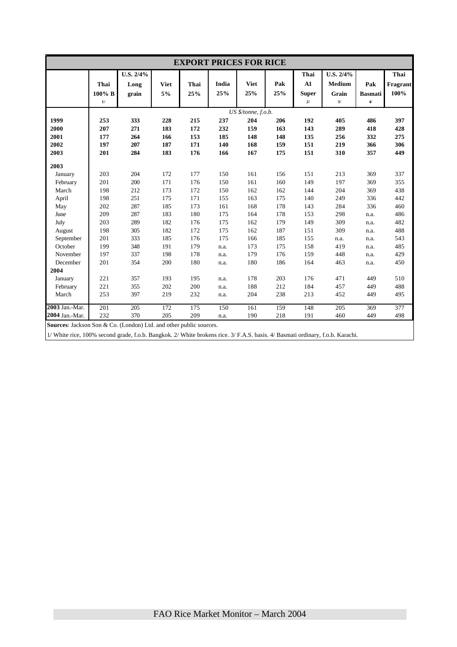| <b>EXPORT PRICES FOR RICE</b>                                            |        |           |             |      |       |                     |     |              |               |                |          |
|--------------------------------------------------------------------------|--------|-----------|-------------|------|-------|---------------------|-----|--------------|---------------|----------------|----------|
|                                                                          |        | U.S. 2/4% |             |      |       |                     |     | Thai         | U.S. 2/4%     |                | Thai     |
|                                                                          | Thai   | Long      | <b>Viet</b> | Thai | India | <b>Viet</b>         | Pak | ${\bf A1}$   | <b>Medium</b> | Pak            | Fragrant |
|                                                                          | 100% B | grain     | 5%          | 25%  | 25%   | 25%                 | 25% | <b>Super</b> | Grain         | <b>Basmati</b> | 100%     |
|                                                                          | 1/     |           |             |      |       |                     |     | 21           | 3/            | $\overline{4}$ |          |
|                                                                          |        |           |             |      |       | US \$/tonne, f.o.b. |     |              |               |                |          |
| 1999                                                                     | 253    | 333       | 228         | 215  | 237   | 204                 | 206 | 192          | 405           | 486            | 397      |
| 2000                                                                     | 207    | 271       | 183         | 172  | 232   | 159                 | 163 | 143          | 289           | 418            | 428      |
| 2001                                                                     | 177    | 264       | 166         | 153  | 185   | 148                 | 148 | 135          | 256           | 332            | 275      |
| 2002                                                                     | 197    | 207       | 187         | 171  | 140   | 168                 | 159 | 151          | 219           | 366            | 306      |
| 2003                                                                     | 201    | 284       | 183         | 176  | 166   | 167                 | 175 | 151          | 310           | 357            | 449      |
| 2003                                                                     |        |           |             |      |       |                     |     |              |               |                |          |
| January                                                                  | 203    | 204       | 172         | 177  | 150   | 161                 | 156 | 151          | 213           | 369            | 337      |
| February                                                                 | 201    | 200       | 171         | 176  | 150   | 161                 | 160 | 149          | 197           | 369            | 355      |
| March                                                                    | 198    | 212       | 173         | 172  | 150   | 162                 | 162 | 144          | 204           | 369            | 438      |
| April                                                                    | 198    | 251       | 175         | 171  | 155   | 163                 | 175 | 140          | 249           | 336            | 442      |
| May                                                                      | 202    | 287       | 185         | 173  | 161   | 168                 | 178 | 143          | 284           | 336            | 460      |
| June                                                                     | 209    | 287       | 183         | 180  | 175   | 164                 | 178 | 153          | 298           | n.a.           | 486      |
| July                                                                     | 203    | 289       | 182         | 176  | 175   | 162                 | 179 | 149          | 309           | n.a.           | 482      |
| August                                                                   | 198    | 305       | 182         | 172  | 175   | 162                 | 187 | 151          | 309           | n.a.           | 488      |
| September                                                                | 201    | 333       | 185         | 176  | 175   | 166                 | 185 | 155          | n.a.          | n.a.           | 543      |
| October                                                                  | 199    | 348       | 191         | 179  | n.a.  | 173                 | 175 | 158          | 419           | n.a.           | 485      |
| November                                                                 | 197    | 337       | 198         | 178  | n.a.  | 179                 | 176 | 159          | 448           | n.a.           | 429      |
| December                                                                 | 201    | 354       | 200         | 180  | n.a.  | 180                 | 186 | 164          | 463           | n.a.           | 450      |
| 2004                                                                     |        |           |             |      |       |                     |     |              |               |                |          |
| January                                                                  | 221    | 357       | 193         | 195  | n.a.  | 178                 | 203 | 176          | 471           | 449            | 510      |
| February                                                                 | 221    | 355       | 202         | 200  | n.a.  | 188                 | 212 | 184          | 457           | 449            | 488      |
| March                                                                    | 253    | 397       | 219         | 232  | n.a.  | 204                 | 238 | 213          | 452           | 449            | 495      |
| 2003 Jan.-Mar.                                                           | 201    | 205       | 172         | 175  | 150   | 161                 | 159 | 148          | 205           | 369            | 377      |
| 2004 Jan.-Mar.                                                           | 232    | 370       | 205         | 209  | n.a.  | 190                 | 218 | 191          | 460           | 449            | 498      |
| <b>Sources:</b> Jackson Son & Co. (London) Ltd. and other public sources |        |           |             |      |       |                     |     |              |               |                |          |

**Sources**: Jackson Son & Co. (London) Ltd. and other public sources.

1/ White rice, 100% second grade, f.o.b. Bangkok. 2/ White brokens rice. 3/ F.A.S. basis. 4/ Basmati ordinary, f.o.b. Karachi.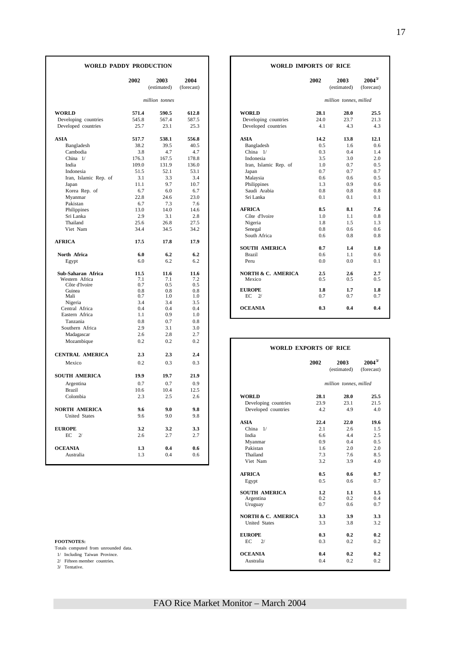| million tonnes<br>million tonnes, milled<br><b>WORLD</b><br>590.5<br><b>WORLD</b><br>28.1<br>28.0<br>571.4<br>612.8<br>545.8<br>567.4<br>587.5<br>Developing countries<br>24.0<br>23.7<br>Developing countries<br>25.7<br>23.1<br>25.3<br>Developed countries<br>4.1<br>4.3<br>Developed countries<br><b>ASIA</b><br>517.7<br>538.1<br>556.8<br><b>ASIA</b><br>14.2<br>13.8<br>39.5<br>40.5<br>Bangladesh<br>0.5<br>Bangladesh<br>38.2<br>1.6<br>Cambodia<br>3.8<br>4.7<br>4.7<br>China 1/<br>0.3<br>0.4<br>3.5<br>China $1/$<br>176.3<br>167.5<br>178.8<br>Indonesia<br>3.0<br>India<br>109.0<br>131.9<br>136.0<br>1.0<br>0.7<br>Iran, Islamic Rep. of<br>51.5<br>52.1<br>53.1<br>0.7<br>0.7<br>Indonesia<br>Japan<br>3.1<br>3.3<br>3.4<br>0.6<br>Iran, Islamic Rep. of<br>Malaysia<br>0.6<br>9.7<br>10.7<br>Philippines<br>0.9<br>Japan<br>11.1<br>1.3<br>Korea Rep. of<br>6.7<br>6.0<br>6.7<br>Saudi Arabia<br>0.8<br>0.8<br>22.8<br>24.6<br>23.0<br>Myanmar<br>Sri Lanka<br>0.1<br>0.1<br>Pakistan<br>6.7<br>7.3<br>7.6<br>8.5<br><b>AFRICA</b><br>8.1<br>Philippines<br>13.0<br>14.0<br>14.6<br>Sri Lanka<br>2.9<br>3.1<br>2.8<br>Côte d'Ivoire<br>1.0<br>1.1<br>27.5<br>Thailand<br>25.6<br>26.8<br>Nigeria<br>1.8<br>1.5<br>Viet Nam<br>34.4<br>34.5<br>34.2<br>Senegal<br>0.8<br>0.6<br>South Africa<br>0.8<br>0.6<br><b>AFRICA</b><br>17.5<br>17.8<br>17.9<br><b>SOUTH AMERICA</b><br>0.7<br>1.4<br>North Africa<br>6.0<br>6.2<br>6.2<br><b>Brazil</b><br>0.6<br>1.1<br>6.2<br>6.2<br>Peru<br>0.0<br>0.0<br>Egypt<br>6.0<br>Sub-Saharan Africa<br>11.5<br>11.6<br>11.6<br><b>NORTH &amp; C. AMERICA</b><br>2.5<br>2.6<br>Western Africa<br>7.1<br>7.1<br>7.2<br>Mexico<br>0.5<br>0.5<br>Côte d'Ivoire<br>0.7<br>0.5<br>0.5<br>0.8<br><b>EUROPE</b><br>1.8<br>1.7<br>Guinea<br>0.8<br>0.8<br>0.7<br>$\mathcal{D}'$<br>0.7<br>0.7<br>Mali<br>1.0<br>1.0<br>EC<br>3.4<br>Nigeria<br>3.4<br>3.5<br><b>OCEANIA</b><br>0.3<br>0.4<br>Central Africa<br>0.4<br>0.4<br>0.4<br>Eastern Africa<br>0.9<br>1.1<br>1.0<br>Tanzania<br>0.8<br>0.7<br>0.8<br>Southern Africa<br>2.9<br>3.1<br>3.0<br>2.7<br>Madagascar<br>2.6<br>2.8<br>0.2<br>0.2<br>0.2<br>Mozambique<br><b>WORLD EXPORTS OF RICE</b><br><b>CENTRAL AMERICA</b><br>2.3<br>2.3<br>2.4<br>2002<br>2003<br>0.3<br>0.3<br>Mexico<br>0.2 | 25.5<br>21.3<br>4.3<br>12.1<br>0.6<br>1.4<br>2.0<br>0.5<br>0.7<br>0.5<br>0.6<br>0.8<br>0.1<br>7.6<br>0.8<br>1.3<br>0.6<br>0.8<br>1.0<br>0.6<br>0.1 |
|-------------------------------------------------------------------------------------------------------------------------------------------------------------------------------------------------------------------------------------------------------------------------------------------------------------------------------------------------------------------------------------------------------------------------------------------------------------------------------------------------------------------------------------------------------------------------------------------------------------------------------------------------------------------------------------------------------------------------------------------------------------------------------------------------------------------------------------------------------------------------------------------------------------------------------------------------------------------------------------------------------------------------------------------------------------------------------------------------------------------------------------------------------------------------------------------------------------------------------------------------------------------------------------------------------------------------------------------------------------------------------------------------------------------------------------------------------------------------------------------------------------------------------------------------------------------------------------------------------------------------------------------------------------------------------------------------------------------------------------------------------------------------------------------------------------------------------------------------------------------------------------------------------------------------------------------------------------------------------------------------------------------------------------------------------------------------------------------------------------------------------------------------------------------------------------------------------------------------------------------------------------------------------------------------|----------------------------------------------------------------------------------------------------------------------------------------------------|
|                                                                                                                                                                                                                                                                                                                                                                                                                                                                                                                                                                                                                                                                                                                                                                                                                                                                                                                                                                                                                                                                                                                                                                                                                                                                                                                                                                                                                                                                                                                                                                                                                                                                                                                                                                                                                                                                                                                                                                                                                                                                                                                                                                                                                                                                                                 |                                                                                                                                                    |
|                                                                                                                                                                                                                                                                                                                                                                                                                                                                                                                                                                                                                                                                                                                                                                                                                                                                                                                                                                                                                                                                                                                                                                                                                                                                                                                                                                                                                                                                                                                                                                                                                                                                                                                                                                                                                                                                                                                                                                                                                                                                                                                                                                                                                                                                                                 |                                                                                                                                                    |
|                                                                                                                                                                                                                                                                                                                                                                                                                                                                                                                                                                                                                                                                                                                                                                                                                                                                                                                                                                                                                                                                                                                                                                                                                                                                                                                                                                                                                                                                                                                                                                                                                                                                                                                                                                                                                                                                                                                                                                                                                                                                                                                                                                                                                                                                                                 |                                                                                                                                                    |
|                                                                                                                                                                                                                                                                                                                                                                                                                                                                                                                                                                                                                                                                                                                                                                                                                                                                                                                                                                                                                                                                                                                                                                                                                                                                                                                                                                                                                                                                                                                                                                                                                                                                                                                                                                                                                                                                                                                                                                                                                                                                                                                                                                                                                                                                                                 |                                                                                                                                                    |
|                                                                                                                                                                                                                                                                                                                                                                                                                                                                                                                                                                                                                                                                                                                                                                                                                                                                                                                                                                                                                                                                                                                                                                                                                                                                                                                                                                                                                                                                                                                                                                                                                                                                                                                                                                                                                                                                                                                                                                                                                                                                                                                                                                                                                                                                                                 |                                                                                                                                                    |
|                                                                                                                                                                                                                                                                                                                                                                                                                                                                                                                                                                                                                                                                                                                                                                                                                                                                                                                                                                                                                                                                                                                                                                                                                                                                                                                                                                                                                                                                                                                                                                                                                                                                                                                                                                                                                                                                                                                                                                                                                                                                                                                                                                                                                                                                                                 |                                                                                                                                                    |
|                                                                                                                                                                                                                                                                                                                                                                                                                                                                                                                                                                                                                                                                                                                                                                                                                                                                                                                                                                                                                                                                                                                                                                                                                                                                                                                                                                                                                                                                                                                                                                                                                                                                                                                                                                                                                                                                                                                                                                                                                                                                                                                                                                                                                                                                                                 |                                                                                                                                                    |
|                                                                                                                                                                                                                                                                                                                                                                                                                                                                                                                                                                                                                                                                                                                                                                                                                                                                                                                                                                                                                                                                                                                                                                                                                                                                                                                                                                                                                                                                                                                                                                                                                                                                                                                                                                                                                                                                                                                                                                                                                                                                                                                                                                                                                                                                                                 |                                                                                                                                                    |
|                                                                                                                                                                                                                                                                                                                                                                                                                                                                                                                                                                                                                                                                                                                                                                                                                                                                                                                                                                                                                                                                                                                                                                                                                                                                                                                                                                                                                                                                                                                                                                                                                                                                                                                                                                                                                                                                                                                                                                                                                                                                                                                                                                                                                                                                                                 |                                                                                                                                                    |
|                                                                                                                                                                                                                                                                                                                                                                                                                                                                                                                                                                                                                                                                                                                                                                                                                                                                                                                                                                                                                                                                                                                                                                                                                                                                                                                                                                                                                                                                                                                                                                                                                                                                                                                                                                                                                                                                                                                                                                                                                                                                                                                                                                                                                                                                                                 |                                                                                                                                                    |
|                                                                                                                                                                                                                                                                                                                                                                                                                                                                                                                                                                                                                                                                                                                                                                                                                                                                                                                                                                                                                                                                                                                                                                                                                                                                                                                                                                                                                                                                                                                                                                                                                                                                                                                                                                                                                                                                                                                                                                                                                                                                                                                                                                                                                                                                                                 |                                                                                                                                                    |
|                                                                                                                                                                                                                                                                                                                                                                                                                                                                                                                                                                                                                                                                                                                                                                                                                                                                                                                                                                                                                                                                                                                                                                                                                                                                                                                                                                                                                                                                                                                                                                                                                                                                                                                                                                                                                                                                                                                                                                                                                                                                                                                                                                                                                                                                                                 |                                                                                                                                                    |
|                                                                                                                                                                                                                                                                                                                                                                                                                                                                                                                                                                                                                                                                                                                                                                                                                                                                                                                                                                                                                                                                                                                                                                                                                                                                                                                                                                                                                                                                                                                                                                                                                                                                                                                                                                                                                                                                                                                                                                                                                                                                                                                                                                                                                                                                                                 |                                                                                                                                                    |
|                                                                                                                                                                                                                                                                                                                                                                                                                                                                                                                                                                                                                                                                                                                                                                                                                                                                                                                                                                                                                                                                                                                                                                                                                                                                                                                                                                                                                                                                                                                                                                                                                                                                                                                                                                                                                                                                                                                                                                                                                                                                                                                                                                                                                                                                                                 |                                                                                                                                                    |
|                                                                                                                                                                                                                                                                                                                                                                                                                                                                                                                                                                                                                                                                                                                                                                                                                                                                                                                                                                                                                                                                                                                                                                                                                                                                                                                                                                                                                                                                                                                                                                                                                                                                                                                                                                                                                                                                                                                                                                                                                                                                                                                                                                                                                                                                                                 |                                                                                                                                                    |
|                                                                                                                                                                                                                                                                                                                                                                                                                                                                                                                                                                                                                                                                                                                                                                                                                                                                                                                                                                                                                                                                                                                                                                                                                                                                                                                                                                                                                                                                                                                                                                                                                                                                                                                                                                                                                                                                                                                                                                                                                                                                                                                                                                                                                                                                                                 |                                                                                                                                                    |
|                                                                                                                                                                                                                                                                                                                                                                                                                                                                                                                                                                                                                                                                                                                                                                                                                                                                                                                                                                                                                                                                                                                                                                                                                                                                                                                                                                                                                                                                                                                                                                                                                                                                                                                                                                                                                                                                                                                                                                                                                                                                                                                                                                                                                                                                                                 |                                                                                                                                                    |
|                                                                                                                                                                                                                                                                                                                                                                                                                                                                                                                                                                                                                                                                                                                                                                                                                                                                                                                                                                                                                                                                                                                                                                                                                                                                                                                                                                                                                                                                                                                                                                                                                                                                                                                                                                                                                                                                                                                                                                                                                                                                                                                                                                                                                                                                                                 |                                                                                                                                                    |
|                                                                                                                                                                                                                                                                                                                                                                                                                                                                                                                                                                                                                                                                                                                                                                                                                                                                                                                                                                                                                                                                                                                                                                                                                                                                                                                                                                                                                                                                                                                                                                                                                                                                                                                                                                                                                                                                                                                                                                                                                                                                                                                                                                                                                                                                                                 |                                                                                                                                                    |
|                                                                                                                                                                                                                                                                                                                                                                                                                                                                                                                                                                                                                                                                                                                                                                                                                                                                                                                                                                                                                                                                                                                                                                                                                                                                                                                                                                                                                                                                                                                                                                                                                                                                                                                                                                                                                                                                                                                                                                                                                                                                                                                                                                                                                                                                                                 |                                                                                                                                                    |
|                                                                                                                                                                                                                                                                                                                                                                                                                                                                                                                                                                                                                                                                                                                                                                                                                                                                                                                                                                                                                                                                                                                                                                                                                                                                                                                                                                                                                                                                                                                                                                                                                                                                                                                                                                                                                                                                                                                                                                                                                                                                                                                                                                                                                                                                                                 |                                                                                                                                                    |
|                                                                                                                                                                                                                                                                                                                                                                                                                                                                                                                                                                                                                                                                                                                                                                                                                                                                                                                                                                                                                                                                                                                                                                                                                                                                                                                                                                                                                                                                                                                                                                                                                                                                                                                                                                                                                                                                                                                                                                                                                                                                                                                                                                                                                                                                                                 |                                                                                                                                                    |
|                                                                                                                                                                                                                                                                                                                                                                                                                                                                                                                                                                                                                                                                                                                                                                                                                                                                                                                                                                                                                                                                                                                                                                                                                                                                                                                                                                                                                                                                                                                                                                                                                                                                                                                                                                                                                                                                                                                                                                                                                                                                                                                                                                                                                                                                                                 |                                                                                                                                                    |
|                                                                                                                                                                                                                                                                                                                                                                                                                                                                                                                                                                                                                                                                                                                                                                                                                                                                                                                                                                                                                                                                                                                                                                                                                                                                                                                                                                                                                                                                                                                                                                                                                                                                                                                                                                                                                                                                                                                                                                                                                                                                                                                                                                                                                                                                                                 |                                                                                                                                                    |
|                                                                                                                                                                                                                                                                                                                                                                                                                                                                                                                                                                                                                                                                                                                                                                                                                                                                                                                                                                                                                                                                                                                                                                                                                                                                                                                                                                                                                                                                                                                                                                                                                                                                                                                                                                                                                                                                                                                                                                                                                                                                                                                                                                                                                                                                                                 | 2.7                                                                                                                                                |
|                                                                                                                                                                                                                                                                                                                                                                                                                                                                                                                                                                                                                                                                                                                                                                                                                                                                                                                                                                                                                                                                                                                                                                                                                                                                                                                                                                                                                                                                                                                                                                                                                                                                                                                                                                                                                                                                                                                                                                                                                                                                                                                                                                                                                                                                                                 | 0.5                                                                                                                                                |
|                                                                                                                                                                                                                                                                                                                                                                                                                                                                                                                                                                                                                                                                                                                                                                                                                                                                                                                                                                                                                                                                                                                                                                                                                                                                                                                                                                                                                                                                                                                                                                                                                                                                                                                                                                                                                                                                                                                                                                                                                                                                                                                                                                                                                                                                                                 |                                                                                                                                                    |
|                                                                                                                                                                                                                                                                                                                                                                                                                                                                                                                                                                                                                                                                                                                                                                                                                                                                                                                                                                                                                                                                                                                                                                                                                                                                                                                                                                                                                                                                                                                                                                                                                                                                                                                                                                                                                                                                                                                                                                                                                                                                                                                                                                                                                                                                                                 | 1.8                                                                                                                                                |
|                                                                                                                                                                                                                                                                                                                                                                                                                                                                                                                                                                                                                                                                                                                                                                                                                                                                                                                                                                                                                                                                                                                                                                                                                                                                                                                                                                                                                                                                                                                                                                                                                                                                                                                                                                                                                                                                                                                                                                                                                                                                                                                                                                                                                                                                                                 | 0.7                                                                                                                                                |
|                                                                                                                                                                                                                                                                                                                                                                                                                                                                                                                                                                                                                                                                                                                                                                                                                                                                                                                                                                                                                                                                                                                                                                                                                                                                                                                                                                                                                                                                                                                                                                                                                                                                                                                                                                                                                                                                                                                                                                                                                                                                                                                                                                                                                                                                                                 |                                                                                                                                                    |
|                                                                                                                                                                                                                                                                                                                                                                                                                                                                                                                                                                                                                                                                                                                                                                                                                                                                                                                                                                                                                                                                                                                                                                                                                                                                                                                                                                                                                                                                                                                                                                                                                                                                                                                                                                                                                                                                                                                                                                                                                                                                                                                                                                                                                                                                                                 | 0.4                                                                                                                                                |
|                                                                                                                                                                                                                                                                                                                                                                                                                                                                                                                                                                                                                                                                                                                                                                                                                                                                                                                                                                                                                                                                                                                                                                                                                                                                                                                                                                                                                                                                                                                                                                                                                                                                                                                                                                                                                                                                                                                                                                                                                                                                                                                                                                                                                                                                                                 |                                                                                                                                                    |
|                                                                                                                                                                                                                                                                                                                                                                                                                                                                                                                                                                                                                                                                                                                                                                                                                                                                                                                                                                                                                                                                                                                                                                                                                                                                                                                                                                                                                                                                                                                                                                                                                                                                                                                                                                                                                                                                                                                                                                                                                                                                                                                                                                                                                                                                                                 |                                                                                                                                                    |
|                                                                                                                                                                                                                                                                                                                                                                                                                                                                                                                                                                                                                                                                                                                                                                                                                                                                                                                                                                                                                                                                                                                                                                                                                                                                                                                                                                                                                                                                                                                                                                                                                                                                                                                                                                                                                                                                                                                                                                                                                                                                                                                                                                                                                                                                                                 |                                                                                                                                                    |
|                                                                                                                                                                                                                                                                                                                                                                                                                                                                                                                                                                                                                                                                                                                                                                                                                                                                                                                                                                                                                                                                                                                                                                                                                                                                                                                                                                                                                                                                                                                                                                                                                                                                                                                                                                                                                                                                                                                                                                                                                                                                                                                                                                                                                                                                                                 |                                                                                                                                                    |
|                                                                                                                                                                                                                                                                                                                                                                                                                                                                                                                                                                                                                                                                                                                                                                                                                                                                                                                                                                                                                                                                                                                                                                                                                                                                                                                                                                                                                                                                                                                                                                                                                                                                                                                                                                                                                                                                                                                                                                                                                                                                                                                                                                                                                                                                                                 |                                                                                                                                                    |
|                                                                                                                                                                                                                                                                                                                                                                                                                                                                                                                                                                                                                                                                                                                                                                                                                                                                                                                                                                                                                                                                                                                                                                                                                                                                                                                                                                                                                                                                                                                                                                                                                                                                                                                                                                                                                                                                                                                                                                                                                                                                                                                                                                                                                                                                                                 |                                                                                                                                                    |
|                                                                                                                                                                                                                                                                                                                                                                                                                                                                                                                                                                                                                                                                                                                                                                                                                                                                                                                                                                                                                                                                                                                                                                                                                                                                                                                                                                                                                                                                                                                                                                                                                                                                                                                                                                                                                                                                                                                                                                                                                                                                                                                                                                                                                                                                                                 | $2004^{3/}$                                                                                                                                        |
| (estimated)<br><b>SOUTH AMERICA</b><br>19.9<br>19.7<br>21.9                                                                                                                                                                                                                                                                                                                                                                                                                                                                                                                                                                                                                                                                                                                                                                                                                                                                                                                                                                                                                                                                                                                                                                                                                                                                                                                                                                                                                                                                                                                                                                                                                                                                                                                                                                                                                                                                                                                                                                                                                                                                                                                                                                                                                                     | (forecast)                                                                                                                                         |
| 0.7<br>0.9<br>Argentina<br>0.7<br>million tonnes, milled                                                                                                                                                                                                                                                                                                                                                                                                                                                                                                                                                                                                                                                                                                                                                                                                                                                                                                                                                                                                                                                                                                                                                                                                                                                                                                                                                                                                                                                                                                                                                                                                                                                                                                                                                                                                                                                                                                                                                                                                                                                                                                                                                                                                                                        |                                                                                                                                                    |
| <b>Brazil</b><br>10.6<br>10.4<br>12.5                                                                                                                                                                                                                                                                                                                                                                                                                                                                                                                                                                                                                                                                                                                                                                                                                                                                                                                                                                                                                                                                                                                                                                                                                                                                                                                                                                                                                                                                                                                                                                                                                                                                                                                                                                                                                                                                                                                                                                                                                                                                                                                                                                                                                                                           |                                                                                                                                                    |
| Colombia<br>2.3<br>2.5<br>2.6<br><b>WORLD</b><br>28.1<br>28.0                                                                                                                                                                                                                                                                                                                                                                                                                                                                                                                                                                                                                                                                                                                                                                                                                                                                                                                                                                                                                                                                                                                                                                                                                                                                                                                                                                                                                                                                                                                                                                                                                                                                                                                                                                                                                                                                                                                                                                                                                                                                                                                                                                                                                                   | 25.5                                                                                                                                               |
| 23.9<br>23.1<br>Developing countries                                                                                                                                                                                                                                                                                                                                                                                                                                                                                                                                                                                                                                                                                                                                                                                                                                                                                                                                                                                                                                                                                                                                                                                                                                                                                                                                                                                                                                                                                                                                                                                                                                                                                                                                                                                                                                                                                                                                                                                                                                                                                                                                                                                                                                                            | 21.5                                                                                                                                               |
| <b>NORTH AMERICA</b><br>9.6<br>9.0<br>9.8<br>Developed countries<br>4.2<br>4.9                                                                                                                                                                                                                                                                                                                                                                                                                                                                                                                                                                                                                                                                                                                                                                                                                                                                                                                                                                                                                                                                                                                                                                                                                                                                                                                                                                                                                                                                                                                                                                                                                                                                                                                                                                                                                                                                                                                                                                                                                                                                                                                                                                                                                  | 4.0                                                                                                                                                |
| <b>United States</b><br>9.6<br>9.0<br>9.8                                                                                                                                                                                                                                                                                                                                                                                                                                                                                                                                                                                                                                                                                                                                                                                                                                                                                                                                                                                                                                                                                                                                                                                                                                                                                                                                                                                                                                                                                                                                                                                                                                                                                                                                                                                                                                                                                                                                                                                                                                                                                                                                                                                                                                                       |                                                                                                                                                    |
| <b>ASIA</b><br>22.4<br>22.0                                                                                                                                                                                                                                                                                                                                                                                                                                                                                                                                                                                                                                                                                                                                                                                                                                                                                                                                                                                                                                                                                                                                                                                                                                                                                                                                                                                                                                                                                                                                                                                                                                                                                                                                                                                                                                                                                                                                                                                                                                                                                                                                                                                                                                                                     | 19.6                                                                                                                                               |
| <b>EUROPE</b><br>3.2<br>3.2<br>3.3<br>China $1/$<br>2.1<br>2.6                                                                                                                                                                                                                                                                                                                                                                                                                                                                                                                                                                                                                                                                                                                                                                                                                                                                                                                                                                                                                                                                                                                                                                                                                                                                                                                                                                                                                                                                                                                                                                                                                                                                                                                                                                                                                                                                                                                                                                                                                                                                                                                                                                                                                                  | 1.5                                                                                                                                                |
| 2.7<br>2/<br>2.7<br>India<br>6.6<br>4.4                                                                                                                                                                                                                                                                                                                                                                                                                                                                                                                                                                                                                                                                                                                                                                                                                                                                                                                                                                                                                                                                                                                                                                                                                                                                                                                                                                                                                                                                                                                                                                                                                                                                                                                                                                                                                                                                                                                                                                                                                                                                                                                                                                                                                                                         | 2.5                                                                                                                                                |
| EC<br>2.6                                                                                                                                                                                                                                                                                                                                                                                                                                                                                                                                                                                                                                                                                                                                                                                                                                                                                                                                                                                                                                                                                                                                                                                                                                                                                                                                                                                                                                                                                                                                                                                                                                                                                                                                                                                                                                                                                                                                                                                                                                                                                                                                                                                                                                                                                       |                                                                                                                                                    |
| 0.9<br>0.4<br>Myanmar                                                                                                                                                                                                                                                                                                                                                                                                                                                                                                                                                                                                                                                                                                                                                                                                                                                                                                                                                                                                                                                                                                                                                                                                                                                                                                                                                                                                                                                                                                                                                                                                                                                                                                                                                                                                                                                                                                                                                                                                                                                                                                                                                                                                                                                                           | 0.5                                                                                                                                                |
| <b>OCEANIA</b><br>1.3<br>0.4<br>0.6<br>Pakistan<br>1.6<br>2.0                                                                                                                                                                                                                                                                                                                                                                                                                                                                                                                                                                                                                                                                                                                                                                                                                                                                                                                                                                                                                                                                                                                                                                                                                                                                                                                                                                                                                                                                                                                                                                                                                                                                                                                                                                                                                                                                                                                                                                                                                                                                                                                                                                                                                                   | 2.0                                                                                                                                                |
| 1.3<br>0.4<br>0.6<br>Thailand<br>7.3<br>7.6<br>Australia<br>Viet Nam<br>3.2<br>3.9                                                                                                                                                                                                                                                                                                                                                                                                                                                                                                                                                                                                                                                                                                                                                                                                                                                                                                                                                                                                                                                                                                                                                                                                                                                                                                                                                                                                                                                                                                                                                                                                                                                                                                                                                                                                                                                                                                                                                                                                                                                                                                                                                                                                              | 8.5                                                                                                                                                |

#### **WORLD IMPORTS OF RICE**

| 2002  | 2003<br>2004<br>(estimated)<br>(forecast) |            |                       | 2002 | 2003<br>(estimated)    | $2004^{3/2}$<br>(forecast) |
|-------|-------------------------------------------|------------|-----------------------|------|------------------------|----------------------------|
|       | million tonnes                            |            |                       |      | million tonnes, milled |                            |
| 571.4 | 590.5                                     | 612.8      | <b>WORLD</b>          | 28.1 | 28.0                   | 25.5                       |
|       | 567.4                                     | 587.5      | Developing countries  | 24.0 | 23.7                   | 21.3                       |
|       | 23.1                                      | 25.3       | Developed countries   | 4.1  | 4.3                    | 4.3                        |
| 538.1 |                                           | 556.8      | <b>ASIA</b>           | 14.2 | 13.8                   | 12.1                       |
|       | 39.5                                      | 40.5       | Bangladesh            | 0.5  | 1.6                    | 0.6                        |
|       | 4.7                                       | 4.7        | China $1/$            | 0.3  | 0.4                    | 1.4                        |
| 167.5 |                                           | 178.8      | Indonesia             | 3.5  | 3.0                    | 2.0                        |
|       | 131.9                                     | 136.0      | Iran, Islamic Rep. of | 1.0  | 0.7                    | 0.5                        |
|       | 52.1                                      | 53.1       | Japan                 | 0.7  | 0.7                    | 0.7                        |
| 3.3   |                                           | 3.4        | Malaysia              | 0.6  | 0.6                    | 0.5                        |
| 9.7   |                                           | 10.7       | Philippines           | 1.3  | 0.9                    | 0.6                        |
| 6.0   |                                           | 6.7        | Saudi Arabia          | 0.8  | 0.8                    | 0.8                        |
| 24.6  |                                           | 23.0       | Sri Lanka             | 0.1  | 0.1                    | 0.1                        |
| 7.3   |                                           | 7.6        |                       |      |                        |                            |
| 14.0  |                                           | 14.6       | <b>AFRICA</b>         | 8.5  | 8.1                    | 7.6                        |
| 3.1   |                                           | 2.8        | Côte d'Ivoire         | 1.0  | 1.1                    | 0.8                        |
| 26.8  |                                           | 27.5       | Nigeria               | 1.8  | 1.5                    | 1.3                        |
| 34.5  |                                           | 34.2       | Senegal               | 0.8  | 0.6                    | 0.6                        |
|       |                                           |            | South Africa          | 0.6  | 0.8                    | 0.8                        |
| 17.8  |                                           | 17.9       |                       |      |                        |                            |
|       |                                           |            | <b>SOUTH AMERICA</b>  | 0.7  | 1.4                    | 1.0                        |
|       | 6.2                                       | 6.2        | <b>Brazil</b>         | 0.6  | 1.1                    | 0.6                        |
| 6.2   |                                           | 6.2        | Peru                  | 0.0  | 0.0                    | 0.1                        |
| 11.6  |                                           | 11.6       | NORTH & C. AMERICA    | 2.5  | 2.6                    | 2.7                        |
|       | 7.1<br>0.5                                | 7.2        | Mexico                | 0.5  | 0.5                    | 0.5                        |
| 0.8   |                                           | 0.5<br>0.8 | <b>EUROPE</b>         | 1.8  | 1.7                    | 1.8                        |
|       | 1.0                                       | 1.0        | EC<br>$\mathbf{v}$    | 0.7  | 0.7                    | 0.7                        |
|       | 3.4                                       | 3.5        |                       |      |                        |                            |
|       | 0.4                                       | 0.4        | <b>OCEANIA</b>        | 0.3  | 0.4                    | 0.4                        |
|       | 0.9                                       | 1.0        |                       |      |                        |                            |

| Mozambique                           | 0.2  | 0.2  | 0.2  | <b>WORLD EXPORTS OF RICE</b>  |      |                        |              |
|--------------------------------------|------|------|------|-------------------------------|------|------------------------|--------------|
| <b>CENTRAL AMERICA</b>               | 2.3  | 2.3  | 2.4  |                               |      |                        |              |
| Mexico                               | 0.2  | 0.3  | 0.3  |                               | 2002 | 2003                   | $2004^{3/2}$ |
|                                      |      |      |      |                               |      | (estimated)            | (forecast)   |
| SOUTH AMERICA                        | 19.9 | 19.7 | 21.9 |                               |      |                        |              |
| Argentina                            | 0.7  | 0.7  | 0.9  |                               |      | million tonnes, milled |              |
| <b>Brazil</b>                        | 10.6 | 10.4 | 12.5 |                               |      |                        |              |
| Colombia                             | 2.3  | 2.5  | 2.6  | <b>WORLD</b>                  | 28.1 | 28.0                   |              |
|                                      |      |      |      | Developing countries          | 23.9 | 23.1                   | 21.5         |
| <b>NORTH AMERICA</b>                 | 9.6  | 9.0  | 9.8  | Developed countries           | 4.2  | 4.9                    |              |
| <b>United States</b>                 | 9.6  | 9.0  | 9.8  |                               |      |                        |              |
|                                      |      |      |      | <b>ASIA</b>                   | 22.4 | 22.0                   | 19.6         |
| <b>EUROPE</b>                        | 3.2  | 3.2  | 3.3  | China 1/                      | 2.1  | 2.6                    |              |
| $EC$ 2/                              | 2.6  | 2.7  | 2.7  | India                         | 6.6  | 4.4                    |              |
|                                      |      |      |      | Myanmar                       | 0.9  | 0.4                    |              |
| <b>OCEANIA</b>                       | 1.3  | 0.4  | 0.6  | Pakistan                      | 1.6  | 2.0                    |              |
| Australia                            | 1.3  | 0.4  | 0.6  | Thailand                      | 7.3  | 7.6                    |              |
|                                      |      |      |      | Viet Nam                      | 3.2  | 3.9                    |              |
|                                      |      |      |      | <b>AFRICA</b>                 | 0.5  | 0.6                    |              |
|                                      |      |      |      | Egypt                         | 0.5  | 0.6                    |              |
|                                      |      |      |      | <b>SOUTH AMERICA</b>          | 1.2  | 1.1                    |              |
|                                      |      |      |      | Argentina                     | 0.2  | 0.2                    |              |
|                                      |      |      |      | Uruguay                       | 0.7  | 0.6                    |              |
|                                      |      |      |      | <b>NORTH &amp; C. AMERICA</b> | 3.3  | 3.9                    |              |
|                                      |      |      |      | <b>United States</b>          | 3.3  | 3.8                    |              |
|                                      |      |      |      | <b>EUROPE</b>                 | 0.3  | 0.2                    |              |
| <b>FOOTNOTES:</b>                    |      |      |      | EC<br>2/                      | 0.3  | 0.2                    |              |
| Totals computed from unrounded data. |      |      |      |                               |      |                        |              |
| 1/ Including Taiwan Province.        |      |      |      | <b>OCEANIA</b>                | 0.4  | 0.2                    |              |
| 2/ Fifteen member countries.         |      |      |      | Australia                     | 0.4  | 0.2                    |              |
| 3/ Tentative.                        |      |      |      |                               |      |                        |              |